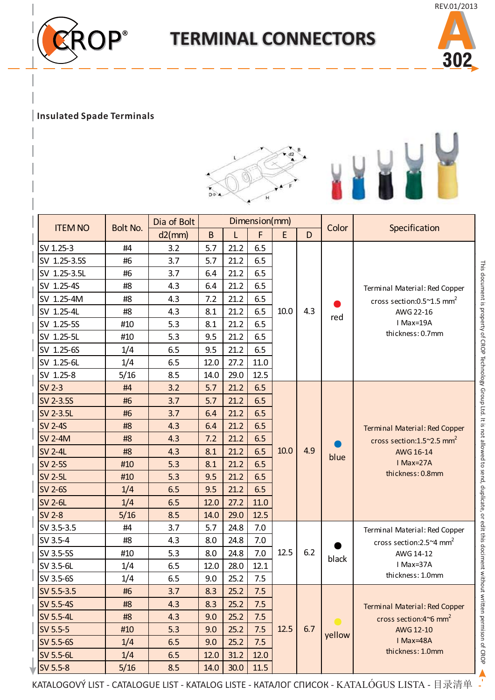

## **TERMINAL CONNECTORS**



L

## **Insulated Spade Terminals**



| <b>ITEM NO</b> | <b>Bolt No.</b> | Dimension(mm)<br>Dia of Bolt |             |      |      |      |     |        |                                                                                                                               |  |
|----------------|-----------------|------------------------------|-------------|------|------|------|-----|--------|-------------------------------------------------------------------------------------------------------------------------------|--|
|                |                 | d2(mm)                       | $\mathsf B$ |      | F    | E    | D   | Color  | Specification                                                                                                                 |  |
| SV 1.25-3      | #4              | 3.2                          | 5.7         | 21.2 | 6.5  |      |     |        |                                                                                                                               |  |
| SV 1.25-3.5S   | #6              | 3.7                          | 5.7         | 21.2 | 6.5  |      |     |        |                                                                                                                               |  |
| SV 1.25-3.5L   | #6              | 3.7                          | 6.4         | 21.2 | 6.5  |      |     |        |                                                                                                                               |  |
| SV 1.25-4S     | #8              | 4.3                          | 6.4         | 21.2 | 6.5  |      |     | red    | Terminal Material: Red Copper<br>cross section: $0.5^{\sim}1.5$ mm <sup>2</sup><br>AWG 22-16<br>I Max=19A<br>thickness: 0.7mm |  |
| SV 1.25-4M     | #8              | 4.3                          | 7.2         | 21.2 | 6.5  |      | 4.3 |        |                                                                                                                               |  |
| SV 1.25-4L     | #8              | 4.3                          | 8.1         | 21.2 | 6.5  | 10.0 |     |        |                                                                                                                               |  |
| SV 1.25-5S     | #10             | 5.3                          | 8.1         | 21.2 | 6.5  |      |     |        |                                                                                                                               |  |
| SV 1.25-5L     | #10             | 5.3                          | 9.5         | 21.2 | 6.5  |      |     |        |                                                                                                                               |  |
| SV 1.25-6S     | 1/4             | 6.5                          | 9.5         | 21.2 | 6.5  |      |     |        |                                                                                                                               |  |
| SV 1.25-6L     | 1/4             | 6.5                          | 12.0        | 27.2 | 11.0 |      |     |        |                                                                                                                               |  |
| SV 1.25-8      | 5/16            | 8.5                          | 14.0        | 29.0 | 12.5 |      |     |        |                                                                                                                               |  |
| <b>SV 2-3</b>  | #4              | 3.2                          | 5.7         | 21.2 | 6.5  |      |     |        |                                                                                                                               |  |
| SV 2-3.5S      | #6              | 3.7                          | 5.7         | 21.2 | 6.5  |      |     |        |                                                                                                                               |  |
| SV 2-3.5L      | #6              | 3.7                          | 6.4         | 21.2 | 6.5  |      |     |        |                                                                                                                               |  |
| <b>SV 2-4S</b> | #8              | 4.3                          | 6.4         | 21.2 | 6.5  |      | 4.9 |        | Terminal Material: Red Copper<br>cross section: $1.5^{\sim}2.5$ mm <sup>2</sup><br>AWG 16-14<br>I Max=27A<br>thickness: 0.8mm |  |
| <b>SV 2-4M</b> | #8              | 4.3                          | 7.2         | 21.2 | 6.5  |      |     |        |                                                                                                                               |  |
| <b>SV 2-4L</b> | #8              | 4.3                          | 8.1         | 21.2 | 6.5  | 10.0 |     | blue   |                                                                                                                               |  |
| <b>SV 2-5S</b> | #10             | 5.3                          | 8.1         | 21.2 | 6.5  |      |     |        |                                                                                                                               |  |
| <b>SV 2-5L</b> | #10             | 5.3                          | 9.5         | 21.2 | 6.5  |      |     |        |                                                                                                                               |  |
| <b>SV 2-6S</b> | 1/4             | 6.5                          | 9.5         | 21.2 | 6.5  |      |     |        |                                                                                                                               |  |
| <b>SV 2-6L</b> | 1/4             | 6.5                          | 12.0        | 27.2 | 11.0 |      |     |        |                                                                                                                               |  |
| <b>SV 2-8</b>  | 5/16            | 8.5                          | 14.0        | 29.0 | 12.5 |      |     |        |                                                                                                                               |  |
| SV 3.5-3.5     | #4              | 3.7                          | 5.7         | 24.8 | 7.0  |      |     | black  | Terminal Material: Red Copper<br>cross section: $2.5^{\sim}4$ mm <sup>2</sup><br>AWG 14-12                                    |  |
| SV 3.5-4       | #8              | 4.3                          | 8.0         | 24.8 | 7.0  |      |     |        |                                                                                                                               |  |
| SV 3.5-5S      | #10             | 5.3                          | 8.0         | 24.8 | 7.0  | 12.5 | 6.2 |        |                                                                                                                               |  |
| SV 3.5-6L      | 1/4             | 6.5                          | 12.0        | 28.0 | 12.1 |      |     |        | I Max=37A                                                                                                                     |  |
| SV 3.5-6S      | 1/4             | 6.5                          | 9.0         | 25.2 | 7.5  |      |     |        | thickness: 1.0mm                                                                                                              |  |
| SV 5.5-3.5     | #6              | 3.7                          | 8.3         | 25.2 | 7.5  |      |     |        | Terminal Material: Red Copper<br>cross section: $4^{\circ}6$ mm <sup>2</sup><br>AWG 12-10<br>I Max=48A                        |  |
| SV 5.5-4S      | #8              | 4.3                          | 8.3         | 25.2 | 7.5  |      | 6.7 | yellow |                                                                                                                               |  |
| SV 5.5-4L      | #8              | 4.3                          | 9.0         | 25.2 | 7.5  |      |     |        |                                                                                                                               |  |
| SV 5.5-5       | #10             | 5.3                          | 9.0         | 25.2 | 7.5  | 12.5 |     |        |                                                                                                                               |  |
| SV 5.5-6S      | 1/4             | 6.5                          | 9.0         | 25.2 | 7.5  |      |     |        |                                                                                                                               |  |
| SV 5.5-6L      | 1/4             | 6.5                          | 12.0        | 31.2 | 12.0 |      |     |        | thickness: 1.0mm                                                                                                              |  |
| SV 5.5-8       | 5/16            | 8.5                          | 14.0        | 30.0 | 11.5 |      |     |        |                                                                                                                               |  |